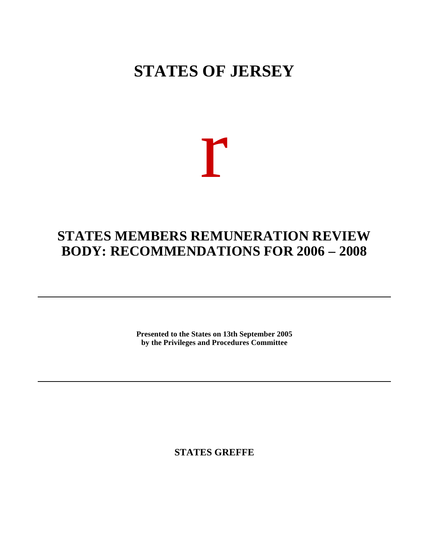# **STATES OF JERSEY**

# r

## **STATES MEMBERS REMUNERATION REVIEW BODY: RECOMMENDATIONS FOR 2006 – 2008**

**Presented to the States on 13th September 2005 by the Privileges and Procedures Committee**

**STATES GREFFE**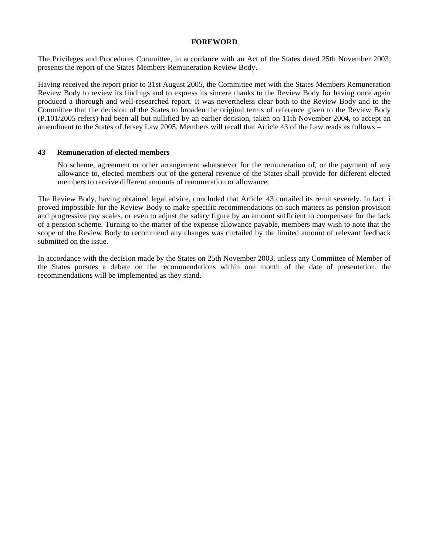## **FOREWORD**

The Privileges and Procedures Committee, in accordance with an Act of the States dated 25th November 2003, presents the report of the States Members Remuneration Review Body.

Having received the report prior to 31st August 2005, the Committee met with the States Members Remuneration Review Body to review its findings and to express its sincere thanks to the Review Body for having once again produced a thorough and well-researched report. It was nevertheless clear both to the Review Body and to the Committee that the decision of the States to broaden the original terms of reference given to the Review Body (P.101/2005 refers) had been all but nullified by an earlier decision, taken on 11th November 2004, to accept an amendment to the States of Jersey Law 2005. Members will recall that Article 43 of the Law reads as follows –

#### **43 Remuneration of elected members**

No scheme, agreement or other arrangement whatsoever for the remuneration of, or the payment of any allowance to, elected members out of the general revenue of the States shall provide for different elected members to receive different amounts of remuneration or allowance.

The Review Body, having obtained legal advice, concluded that Article 43 curtailed its remit severely. In fact, it proved impossible for the Review Body to make specific recommendations on such matters as pension provision and progressive pay scales, or even to adjust the salary figure by an amount sufficient to compensate for the lack of a pension scheme. Turning to the matter of the expense allowance payable, members may wish to note that the scope of the Review Body to recommend any changes was curtailed by the limited amount of relevant feedback submitted on the issue.

In accordance with the decision made by the States on 25th November 2003, unless any Committee of Member of the States pursues a debate on the recommendations within one month of the date of presentation, the recommendations will be implemented as they stand.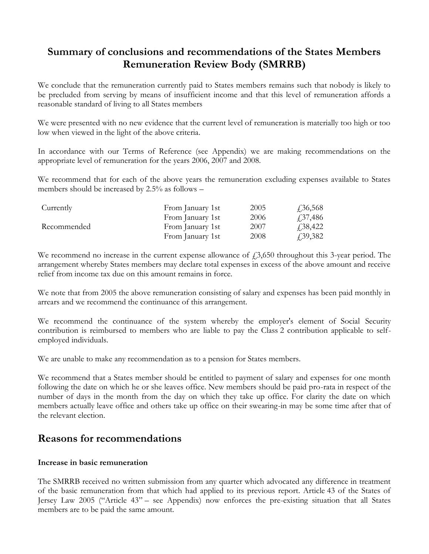## **Summary of conclusions and recommendations of the States Members Remuneration Review Body (SMRRB)**

We conclude that the remuneration currently paid to States members remains such that nobody is likely to be precluded from serving by means of insufficient income and that this level of remuneration affords a reasonable standard of living to all States members

We were presented with no new evidence that the current level of remuneration is materially too high or too low when viewed in the light of the above criteria.

In accordance with our Terms of Reference (see Appendix) we are making recommendations on the appropriate level of remuneration for the years 2006, 2007 and 2008.

We recommend that for each of the above years the remuneration excluding expenses available to States members should be increased by 2.5% as follows –

| Currently   | From January 1st | 2005 | $\sqrt{.36,568}$ |
|-------------|------------------|------|------------------|
|             | From January 1st | 2006 | <i>4</i> .37,486 |
| Recommended | From January 1st | 2007 | $\sqrt{.}38,422$ |
|             | From January 1st | 2008 | <i>f</i> ,39,382 |

We recommend no increase in the current expense allowance of  $\dot{\gamma}$ ,650 throughout this 3-year period. The arrangement whereby States members may declare total expenses in excess of the above amount and receive relief from income tax due on this amount remains in force.

We note that from 2005 the above remuneration consisting of salary and expenses has been paid monthly in arrears and we recommend the continuance of this arrangement.

We recommend the continuance of the system whereby the employer's element of Social Security contribution is reimbursed to members who are liable to pay the Class 2 contribution applicable to selfemployed individuals.

We are unable to make any recommendation as to a pension for States members.

We recommend that a States member should be entitled to payment of salary and expenses for one month following the date on which he or she leaves office. New members should be paid pro-rata in respect of the number of days in the month from the day on which they take up office. For clarity the date on which members actually leave office and others take up office on their swearing-in may be some time after that of the relevant election.

## **Reasons for recommendations**

## **Increase in basic remuneration**

The SMRRB received no written submission from any quarter which advocated any difference in treatment of the basic remuneration from that which had applied to its previous report. Article 43 of the States of Jersey Law 2005 ("Article 43" – see Appendix) now enforces the pre-existing situation that all States members are to be paid the same amount.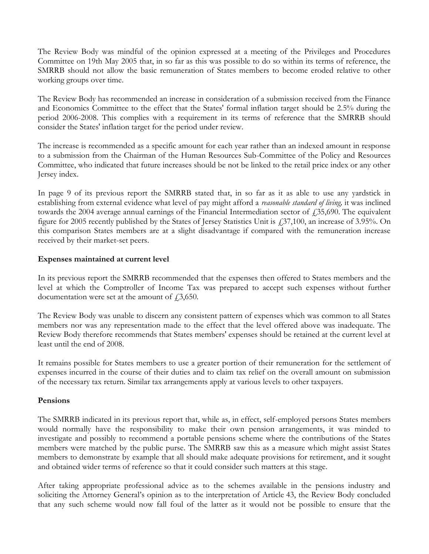The Review Body was mindful of the opinion expressed at a meeting of the Privileges and Procedures Committee on 19th May 2005 that, in so far as this was possible to do so within its terms of reference, the SMRRB should not allow the basic remuneration of States members to become eroded relative to other working groups over time.

The Review Body has recommended an increase in consideration of a submission received from the Finance and Economics Committee to the effect that the States' formal inflation target should be 2.5% during the period 2006-2008. This complies with a requirement in its terms of reference that the SMRRB should consider the States' inflation target for the period under review.

The increase is recommended as a specific amount for each year rather than an indexed amount in response to a submission from the Chairman of the Human Resources Sub-Committee of the Policy and Resources Committee, who indicated that future increases should be not be linked to the retail price index or any other Jersey index.

In page 9 of its previous report the SMRRB stated that, in so far as it as able to use any yardstick in establishing from external evidence what level of pay might afford a *reasonable standard of living,* it was inclined towards the 2004 average annual earnings of the Financial Intermediation sector of  $\text{\textsterling}35,690$ . The equivalent figure for 2005 recently published by the States of Jersey Statistics Unit is £37,100, an increase of 3.95%. On this comparison States members are at a slight disadvantage if compared with the remuneration increase received by their market-set peers.

## **Expenses maintained at current level**

In its previous report the SMRRB recommended that the expenses then offered to States members and the level at which the Comptroller of Income Tax was prepared to accept such expenses without further documentation were set at the amount of  $\dot{\textit{f}}$ , 3,650.

The Review Body was unable to discern any consistent pattern of expenses which was common to all States members nor was any representation made to the effect that the level offered above was inadequate. The Review Body therefore recommends that States members' expenses should be retained at the current level at least until the end of 2008.

It remains possible for States members to use a greater portion of their remuneration for the settlement of expenses incurred in the course of their duties and to claim tax relief on the overall amount on submission of the necessary tax return. Similar tax arrangements apply at various levels to other taxpayers.

## **Pensions**

The SMRRB indicated in its previous report that, while as, in effect, self-employed persons States members would normally have the responsibility to make their own pension arrangements, it was minded to investigate and possibly to recommend a portable pensions scheme where the contributions of the States members were matched by the public purse. The SMRRB saw this as a measure which might assist States members to demonstrate by example that all should make adequate provisions for retirement, and it sought and obtained wider terms of reference so that it could consider such matters at this stage.

After taking appropriate professional advice as to the schemes available in the pensions industry and soliciting the Attorney General's opinion as to the interpretation of Article 43, the Review Body concluded that any such scheme would now fall foul of the latter as it would not be possible to ensure that the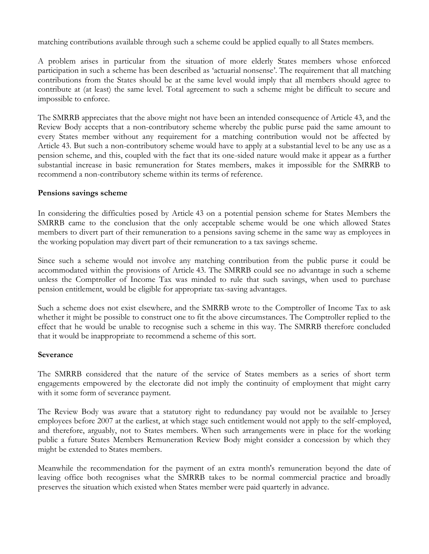matching contributions available through such a scheme could be applied equally to all States members.

A problem arises in particular from the situation of more elderly States members whose enforced participation in such a scheme has been described as 'actuarial nonsense'. The requirement that all matching contributions from the States should be at the same level would imply that all members should agree to contribute at (at least) the same level. Total agreement to such a scheme might be difficult to secure and impossible to enforce.

The SMRRB appreciates that the above might not have been an intended consequence of Article 43, and the Review Body accepts that a non-contributory scheme whereby the public purse paid the same amount to every States member without any requirement for a matching contribution would not be affected by Article 43. But such a non-contributory scheme would have to apply at a substantial level to be any use as a pension scheme, and this, coupled with the fact that its one-sided nature would make it appear as a further substantial increase in basic remuneration for States members, makes it impossible for the SMRRB to recommend a non-contributory scheme within its terms of reference.

## **Pensions savings scheme**

In considering the difficulties posed by Article 43 on a potential pension scheme for States Members the SMRRB came to the conclusion that the only acceptable scheme would be one which allowed States members to divert part of their remuneration to a pensions saving scheme in the same way as employees in the working population may divert part of their remuneration to a tax savings scheme.

Since such a scheme would not involve any matching contribution from the public purse it could be accommodated within the provisions of Article 43. The SMRRB could see no advantage in such a scheme unless the Comptroller of Income Tax was minded to rule that such savings, when used to purchase pension entitlement, would be eligible for appropriate tax-saving advantages.

Such a scheme does not exist elsewhere, and the SMRRB wrote to the Comptroller of Income Tax to ask whether it might be possible to construct one to fit the above circumstances. The Comptroller replied to the effect that he would be unable to recognise such a scheme in this way. The SMRRB therefore concluded that it would be inappropriate to recommend a scheme of this sort.

## **Severance**

The SMRRB considered that the nature of the service of States members as a series of short term engagements empowered by the electorate did not imply the continuity of employment that might carry with it some form of severance payment.

The Review Body was aware that a statutory right to redundancy pay would not be available to Jersey employees before 2007 at the earliest, at which stage such entitlement would not apply to the self-employed, and therefore, arguably, not to States members. When such arrangements were in place for the working public a future States Members Remuneration Review Body might consider a concession by which they might be extended to States members.

Meanwhile the recommendation for the payment of an extra month's remuneration beyond the date of leaving office both recognises what the SMRRB takes to be normal commercial practice and broadly preserves the situation which existed when States member were paid quarterly in advance.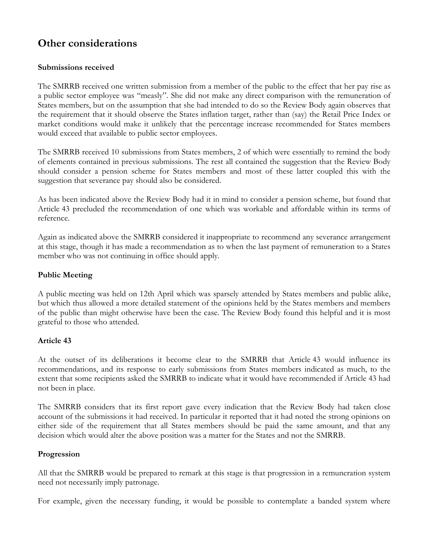## **Other considerations**

## **Submissions received**

The SMRRB received one written submission from a member of the public to the effect that her pay rise as a public sector employee was "measly". She did not make any direct comparison with the remuneration of States members, but on the assumption that she had intended to do so the Review Body again observes that the requirement that it should observe the States inflation target, rather than (say) the Retail Price Index or market conditions would make it unlikely that the percentage increase recommended for States members would exceed that available to public sector employees.

The SMRRB received 10 submissions from States members, 2 of which were essentially to remind the body of elements contained in previous submissions. The rest all contained the suggestion that the Review Body should consider a pension scheme for States members and most of these latter coupled this with the suggestion that severance pay should also be considered.

As has been indicated above the Review Body had it in mind to consider a pension scheme, but found that Article 43 precluded the recommendation of one which was workable and affordable within its terms of reference.

Again as indicated above the SMRRB considered it inappropriate to recommend any severance arrangement at this stage, though it has made a recommendation as to when the last payment of remuneration to a States member who was not continuing in office should apply.

## **Public Meeting**

A public meeting was held on 12th April which was sparsely attended by States members and public alike, but which thus allowed a more detailed statement of the opinions held by the States members and members of the public than might otherwise have been the case. The Review Body found this helpful and it is most grateful to those who attended.

## **Article 43**

At the outset of its deliberations it become clear to the SMRRB that Article 43 would influence its recommendations, and its response to early submissions from States members indicated as much, to the extent that some recipients asked the SMRRB to indicate what it would have recommended if Article 43 had not been in place.

The SMRRB considers that its first report gave every indication that the Review Body had taken close account of the submissions it had received. In particular it reported that it had noted the strong opinions on either side of the requirement that all States members should be paid the same amount, and that any decision which would alter the above position was a matter for the States and not the SMRRB.

## **Progression**

All that the SMRRB would be prepared to remark at this stage is that progression in a remuneration system need not necessarily imply patronage.

For example, given the necessary funding, it would be possible to contemplate a banded system where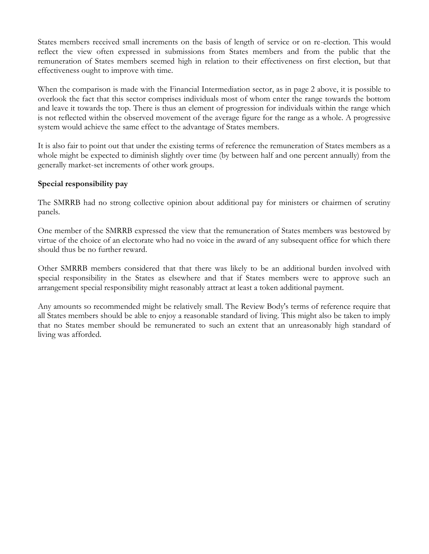States members received small increments on the basis of length of service or on re-election. This would reflect the view often expressed in submissions from States members and from the public that the remuneration of States members seemed high in relation to their effectiveness on first election, but that effectiveness ought to improve with time.

When the comparison is made with the Financial Intermediation sector, as in page 2 above, it is possible to overlook the fact that this sector comprises individuals most of whom enter the range towards the bottom and leave it towards the top. There is thus an element of progression for individuals within the range which is not reflected within the observed movement of the average figure for the range as a whole. A progressive system would achieve the same effect to the advantage of States members.

It is also fair to point out that under the existing terms of reference the remuneration of States members as a whole might be expected to diminish slightly over time (by between half and one percent annually) from the generally market-set increments of other work groups.

## **Special responsibility pay**

The SMRRB had no strong collective opinion about additional pay for ministers or chairmen of scrutiny panels.

One member of the SMRRB expressed the view that the remuneration of States members was bestowed by virtue of the choice of an electorate who had no voice in the award of any subsequent office for which there should thus be no further reward.

Other SMRRB members considered that that there was likely to be an additional burden involved with special responsibility in the States as elsewhere and that if States members were to approve such an arrangement special responsibility might reasonably attract at least a token additional payment.

Any amounts so recommended might be relatively small. The Review Body's terms of reference require that all States members should be able to enjoy a reasonable standard of living. This might also be taken to imply that no States member should be remunerated to such an extent that an unreasonably high standard of living was afforded.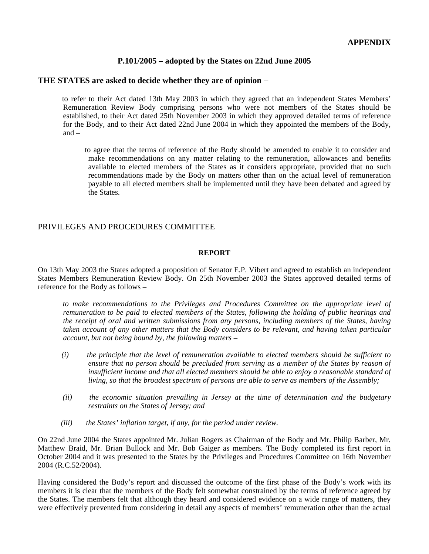## **P.101/2005 – adopted by the States on 22nd June 2005**

## **THE STATES are asked to decide whether they are of opinion**

 to refer to their Act dated 13th May 2003 in which they agreed that an independent States Members' Remuneration Review Body comprising persons who were not members of the States should be established, to their Act dated 25th November 2003 in which they approved detailed terms of reference for the Body, and to their Act dated 22nd June 2004 in which they appointed the members of the Body, and –

 to agree that the terms of reference of the Body should be amended to enable it to consider and make recommendations on any matter relating to the remuneration, allowances and benefits available to elected members of the States as it considers appropriate, provided that no such recommendations made by the Body on matters other than on the actual level of remuneration payable to all elected members shall be implemented until they have been debated and agreed by the States.

## PRIVILEGES AND PROCEDURES COMMITTEE

#### **REPORT**

On 13th May 2003 the States adopted a proposition of Senator E.P. Vibert and agreed to establish an independent States Members Remuneration Review Body. On 25th November 2003 the States approved detailed terms of reference for the Body as follows –

 *to make recommendations to the Privileges and Procedures Committee on the appropriate level of remuneration to be paid to elected members of the States, following the holding of public hearings and the receipt of oral and written submissions from any persons, including members of the States, having taken account of any other matters that the Body considers to be relevant, and having taken particular account, but not being bound by, the following matters –*

- *(i) the principle that the level of remuneration available to elected members should be sufficient to ensure that no person should be precluded from serving as a member of the States by reason of insufficient income and that all elected members should be able to enjoy a reasonable standard of living, so that the broadest spectrum of persons are able to serve as members of the Assembly;*
- *(ii) the economic situation prevailing in Jersey at the time of determination and the budgetary restraints on the States of Jersey; and*
- *(iii) the States' inflation target, if any, for the period under review.*

On 22nd June 2004 the States appointed Mr. Julian Rogers as Chairman of the Body and Mr. Philip Barber, Mr. Matthew Braid, Mr. Brian Bullock and Mr. Bob Gaiger as members. The Body completed its first report in October 2004 and it was presented to the States by the Privileges and Procedures Committee on 16th November 2004 (R.C.52/2004).

Having considered the Body's report and discussed the outcome of the first phase of the Body's work with its members it is clear that the members of the Body felt somewhat constrained by the terms of reference agreed by the States. The members felt that although they heard and considered evidence on a wide range of matters, they were effectively prevented from considering in detail any aspects of members' remuneration other than the actual